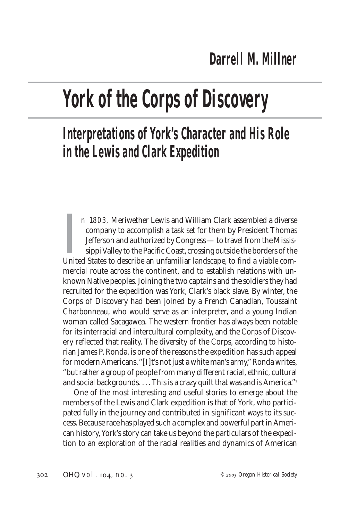## **York of the Corps of Discovery**

## **Interpretations of York's Character and His Role in the Lewis and Clark Expedition**

In 1803, Meriwether Lewis and William Clark assembled a diverse company to accomplish a task set for them by President Thomas Jefferson and authorized by Congress — to travel from the Mississippi Valley to the Pacific Coas n 1803, Meriwether Lewis and William Clark assembled a diverse company to accomplish a task set for them by President Thomas Jefferson and authorized by Congress — to travel from the Mississippi Valley to the Pacific Coast, crossing outside the borders of the mercial route across the continent, and to establish relations with unknown Native peoples. Joining the two captains and the soldiers they had recruited for the expedition was York, Clark's black slave. By winter, the Corps of Discovery had been joined by a French Canadian, Toussaint Charbonneau, who would serve as an interpreter, and a young Indian woman called Sacagawea. The western frontier has always been notable for its interracial and intercultural complexity, and the Corps of Discovery reflected that reality. The diversity of the Corps, according to historian James P. Ronda, is one of the reasons the expedition has such appeal for modern Americans. "[I]t's not just a white man's army," Ronda writes, "but rather a group of people from many different racial, ethnic, cultural and social backgrounds. . . . This is a crazy quilt that was and is America."<sup>1</sup>

One of the most interesting and useful stories to emerge about the members of the Lewis and Clark expedition is that of York, who participated fully in the journey and contributed in significant ways to its success. Because race has played such a complex and powerful part in American history, York's story can take us beyond the particulars of the expedition to an exploration of the racial realities and dynamics of American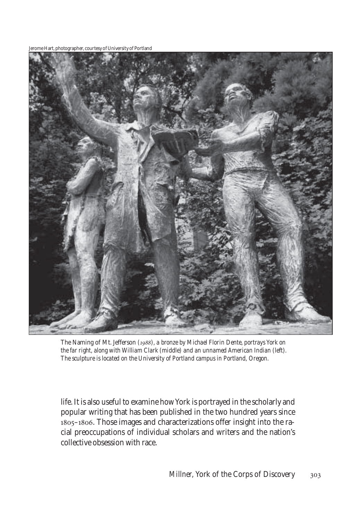Jerome Hart, photographer, courtesy of University of Portland



The Naming of Mt. Jefferson (1988), a bronze by Michael Florin Dente, portrays York on *the far right, along with William Clark (middle) and an unnamed American Indian (left). The sculpture is located on the University of Portland campus in Portland, Oregon.*

life. It is also useful to examine how York is portrayed in the scholarly and popular writing that has been published in the two hundred years since 1805-1806. Those images and characterizations offer insight into the racial preoccupations of individual scholars and writers and the nation's collective obsession with race.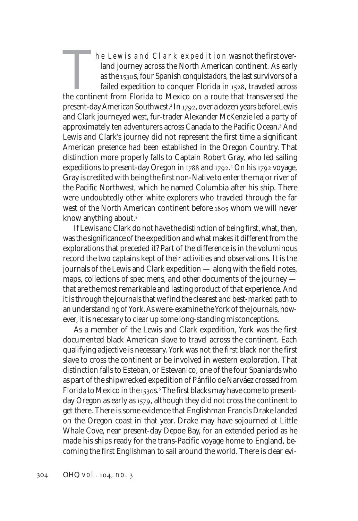The Lewis and Clark expedition was not the first overland journey across the North American continent. As early as the 1530s, four Spanish *conquistadors*, the last survivors of a failed expedition to conquer Florida in 1528, traveled across the continent from Florida to Mexico on a route that transversed the present-day American Southwest.<sup>2</sup> In 1792, over a dozen years before Lewis and Clark journeyed west, fur-trader Alexander McKenzie led a party of approximately ten adventurers across Canada to the Pacific Ocean.<sup>3</sup> And Lewis and Clark's journey did not represent the first time a significant American presence had been established in the Oregon Country. That distinction more properly falls to Captain Robert Gray, who led sailing expeditions to present-day Oregon in 1788 and 1792.<sup>4</sup> On his 1792 voyage, Gray is credited with being the first non-Native to enter the major river of the Pacific Northwest, which he named Columbia after his ship. There were undoubtedly other white explorers who traveled through the far west of the North American continent before 1805 whom we will never know anything about.

If Lewis and Clark do not have the distinction of being first, what, then, was the significance of the expedition and what makes it different from the explorations that preceded it? Part of the difference is in the voluminous record the two captains kept of their activities and observations. It is the journals of the Lewis and Clark expedition — along with the field notes, maps, collections of specimens, and other documents of the journey that are the most remarkable and lasting product of that experience. And it is through the journals that we find the clearest and best-marked path to an understanding of York. As we re-examine the York of the journals, however, it is necessary to clear up some long-standing misconceptions.

As a member of the Lewis and Clark expedition, York was the first documented black American slave to travel across the continent. Each qualifying adjective is necessary. York was not the first black nor the first slave to cross the continent or be involved in western exploration. That distinction falls to Esteban, or Estevanico, one of the four Spaniards who as part of the shipwrecked expedition of Pánfilo de Narváez crossed from Florida to Mexico in the 1530s.6 The first blacks may have come to presentday Oregon as early as 1579, although they did not cross the continent to get there. There is some evidence that Englishman Francis Drake landed on the Oregon coast in that year. Drake may have sojourned at Little Whale Cove, near present-day Depoe Bay, for an extended period as he made his ships ready for the trans-Pacific voyage home to England, becoming the first Englishman to sail around the world. There is clear evi-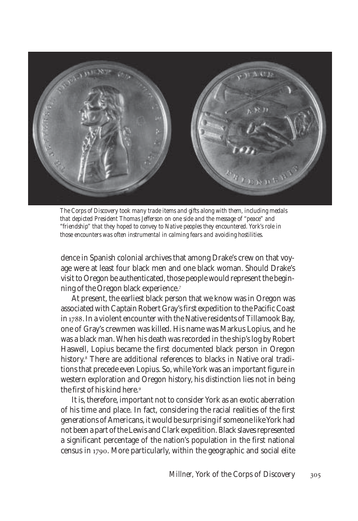

*The Corps of Discovery took many trade items and gifts along with them, including medals that depicted President Thomas Jefferson on one side and the message of "peace" and "friendship" that they hoped to convey to Native peoples they encountered. York's role in those encounters was often instrumental in calming fears and avoiding hostilities.*

dence in Spanish colonial archives that among Drake's crew on that voyage were at least four black men and one black woman. Should Drake's visit to Oregon be authenticated, those people would represent the beginning of the Oregon black experience.

At present, the earliest black person that we know was in Oregon was associated with Captain Robert Gray's first expedition to the Pacific Coast in 1788. In a violent encounter with the Native residents of Tillamook Bay, one of Gray's crewmen was killed. His name was Markus Lopius, and he was a black man. When his death was recorded in the ship's log by Robert Haswell, Lopius became the first documented black person in Oregon history. There are additional references to blacks in Native oral traditions that precede even Lopius. So, while York was an important figure in western exploration and Oregon history, his distinction lies not in being the first of his kind here.

It is, therefore, important not to consider York as an exotic aberration of his time and place. In fact, considering the racial realities of the first generations of Americans, it would be surprising if someone like York had not been a part of the Lewis and Clark expedition. Black slaves represented a significant percentage of the nation's population in the first national census in 1790. More particularly, within the geographic and social elite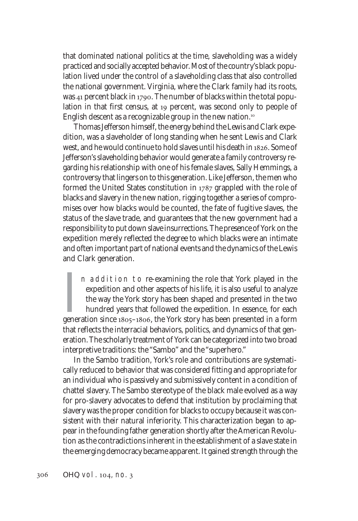that dominated national politics at the time, slaveholding was a widely practiced and socially accepted behavior. Most of the country's black population lived under the control of a slaveholding class that also controlled the national government. Virginia, where the Clark family had its roots, was  $41$  percent black in 1790. The number of blacks within the total population in that first census, at 19 percent, was second only to people of English descent as a recognizable group in the new nation.

Thomas Jefferson himself, the energy behind the Lewis and Clark expedition, was a slaveholder of long standing when he sent Lewis and Clark west, and he would continue to hold slaves until his death in 1826. Some of Jefferson's slaveholding behavior would generate a family controversy regarding his relationship with one of his female slaves, Sally Hemmings, a controversy that lingers on to this generation. Like Jefferson, the men who formed the United States constitution in  $1787$  grappled with the role of blacks and slavery in the new nation, rigging together a series of compromises over how blacks would be counted, the fate of fugitive slaves, the status of the slave trade, and guarantees that the new government had a responsibility to put down slave insurrections. The presence of York on the expedition merely reflected the degree to which blacks were an intimate and often important part of national events and the dynamics of the Lewis and Clark generation.

In addition to re-examining the role that York played in the expedition and other aspects of his life, it is also useful to analyze the way the York story has been shaped and presented in the two hundred years that follow n addition to re-examining the role that York played in the expedition and other aspects of his life, it is also useful to analyze the way the York story has been shaped and presented in the two hundred years that followed the expedition. In essence, for each that reflects the interracial behaviors, politics, and dynamics of that generation. The scholarly treatment of York can be categorized into two broad interpretive traditions: the "Sambo" and the "superhero."

In the Sambo tradition, York's role and contributions are systematically reduced to behavior that was considered fitting and appropriate for an individual who is passively and submissively content in a condition of chattel slavery. The Sambo stereotype of the black male evolved as a way for pro-slavery advocates to defend that institution by proclaiming that slavery was the proper condition for blacks to occupy because it was consistent with their natural inferiority. This characterization began to appear in the founding father generation shortly after the American Revolution as the contradictions inherent in the establishment of a slave state in the emerging democracy became apparent. It gained strength through the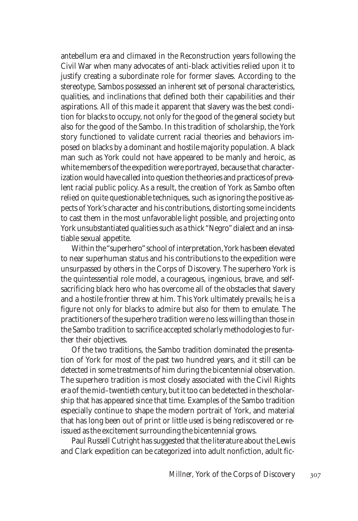antebellum era and climaxed in the Reconstruction years following the Civil War when many advocates of anti-black activities relied upon it to justify creating a subordinate role for former slaves. According to the stereotype, Sambos possessed an inherent set of personal characteristics, qualities, and inclinations that defined both their capabilities and their aspirations. All of this made it apparent that slavery was the best condition for blacks to occupy, not only for the good of the general society but also for the good of the Sambo. In this tradition of scholarship, the York story functioned to validate current racial theories and behaviors imposed on blacks by a dominant and hostile majority population. A black man such as York could not have appeared to be manly and heroic, as white members of the expedition were portrayed, because that characterization would have called into question the theories and practices of prevalent racial public policy. As a result, the creation of York as Sambo often relied on quite questionable techniques, such as ignoring the positive aspects of York's character and his contributions, distorting some incidents to cast them in the most unfavorable light possible, and projecting onto York unsubstantiated qualities such as a thick "Negro" dialect and an insatiable sexual appetite.

Within the "superhero" school of interpretation, York has been elevated to near superhuman status and his contributions to the expedition were unsurpassed by others in the Corps of Discovery. The superhero York is the quintessential role model, a courageous, ingenious, brave, and selfsacrificing black hero who has overcome all of the obstacles that slavery and a hostile frontier threw at him. This York ultimately prevails; he is a figure not only for blacks to admire but also for them to emulate. The practitioners of the superhero tradition were no less willing than those in the Sambo tradition to sacrifice accepted scholarly methodologies to further their objectives.

Of the two traditions, the Sambo tradition dominated the presentation of York for most of the past two hundred years, and it still can be detected in some treatments of him during the bicentennial observation. The superhero tradition is most closely associated with the Civil Rights era of the mid–twentieth century, but it too can be detected in the scholarship that has appeared since that time. Examples of the Sambo tradition especially continue to shape the modern portrait of York, and material that has long been out of print or little used is being rediscovered or reissued as the excitement surrounding the bicentennial grows.

Paul Russell Cutright has suggested that the literature about the Lewis and Clark expedition can be categorized into adult nonfiction, adult fic-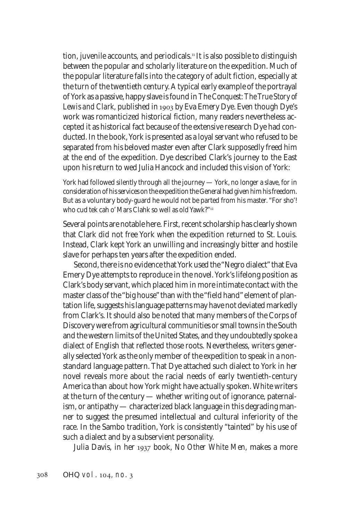tion, juvenile accounts, and periodicals.<sup>11</sup> It is also possible to distinguish between the popular and scholarly literature on the expedition. Much of the popular literature falls into the category of adult fiction, especially at the turn of the twentieth century. A typical early example of the portrayal of York as a passive, happy slave is found in *The Conquest: The True Story of* Lewis and Clark, published in 1903 by Eva Emery Dye. Even though Dye's work was romanticized historical fiction, many readers nevertheless accepted it as historical fact because of the extensive research Dye had conducted. In the book, York is presented as a loyal servant who refused to be separated from his beloved master even after Clark supposedly freed him at the end of the expedition. Dye described Clark's journey to the East upon his return to wed Julia Hancock and included this vision of York:

York had followed silently through all the journey — York, no longer a slave, for in consideration of his services on the expedition the General had given him his freedom. But as a voluntary body-guard he would not be parted from his master. "For sho'! who cud tek cah o' Mars Clahk so well as old Yawk?"

Several points are notable here. First, recent scholarship has clearly shown that Clark did not free York when the expedition returned to St. Louis. Instead, Clark kept York an unwilling and increasingly bitter and hostile slave for perhaps ten years after the expedition ended.

Second, there is no evidence that York used the "Negro dialect" that Eva Emery Dye attempts to reproduce in the novel. York's lifelong position as Clark's body servant, which placed him in more intimate contact with the master class of the "big house" than with the "field hand" element of plantation life, suggests his language patterns may have not deviated markedly from Clark's. It should also be noted that many members of the Corps of Discovery were from agricultural communities or small towns in the South and the western limits of the United States, and they undoubtedly spoke a dialect of English that reflected those roots. Nevertheless, writers generally selected York as the only member of the expedition to speak in a nonstandard language pattern. That Dye attached such dialect to York in her novel reveals more about the racial needs of early twentieth-century America than about how York might have actually spoken. White writers at the turn of the century — whether writing out of ignorance, paternalism, or antipathy — characterized black language in this degrading manner to suggest the presumed intellectual and cultural inferiority of the race. In the Sambo tradition, York is consistently "tainted" by his use of such a dialect and by a subservient personality.

Julia Davis, in her 1937 book, *No Other White Men*, makes a more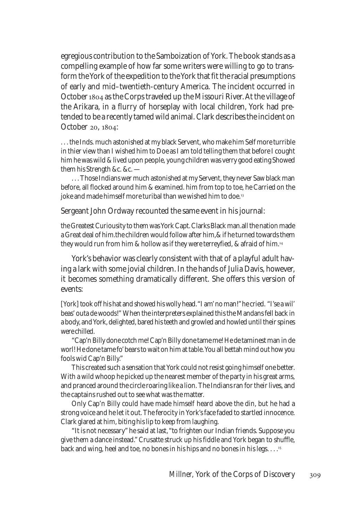egregious contribution to the Samboization of York. The book stands as a compelling example of how far some writers were willing to go to transform the York of the expedition to the York that fit the racial presumptions of early and mid–twentieth-century America. The incident occurred in October 1804 as the Corps traveled up the Missouri River. At the village of the Arikara, in a flurry of horseplay with local children, York had pretended to be a recently tamed wild animal. Clark describes the incident on October 20, 1804:

. . . the Inds. much astonished at my black Servent, who make him Self more turrible in thier view than I wished him to Doe as I am told telling them that before I cought him he was wild & lived upon people, young children was verry good eating Showed them his Strength &c. &c. —

. . . Those Indians wer much astonished at my Servent, they never Saw black man before, all flocked around him & examined. him from top to toe, he Carried on the joke and made himself more turibal than we wished him to doe.<sup>13</sup>

Sergeant John Ordway recounted the same event in his journal:

the Greatest Curiousity to them was York Capt. Clarks Black man.all the nation made a Great deal of him.the children would follow after him,& if he turned towards them they would run from him & hollow as if they were terreyfied, & afraid of him.

York's behavior was clearly consistent with that of a playful adult having a lark with some jovial children. In the hands of Julia Davis, however, it becomes something dramatically different. She offers this version of events:

[York] took off his hat and showed his wolly head. "I am' no man!" he cried. "I'se a wil' beas' outa de woods!" When the interpreters explained this the Mandans fell back in a body, and York, delighted, bared his teeth and growled and howled until their spines were chilled.

"Cap'n Billy done cotch me! Cap'n Billy done tame me! He de taminest man in de worl! He done tame fo' bears to wait on him at table. You all bettah mind out how you fools wid Cap'n Billy."

This created such a sensation that York could not resist going himself one better. With a wild whoop he picked up the nearest member of the party in his great arms, and pranced around the circle roaring like a lion. The Indians ran for their lives, and the captains rushed out to see what was the matter.

Only Cap'n Billy could have made himself heard above the din, but he had a strong voice and he let it out. The ferocity in York's face faded to startled innocence. Clark glared at him, biting his lip to keep from laughing.

"It is not necessary" he said at last, "to frighten our Indian friends. Suppose you give them a dance instead." Crusatte struck up his fiddle and York began to shuffle, back and wing, heel and toe, no bones in his hips and no bones in his legs. . . .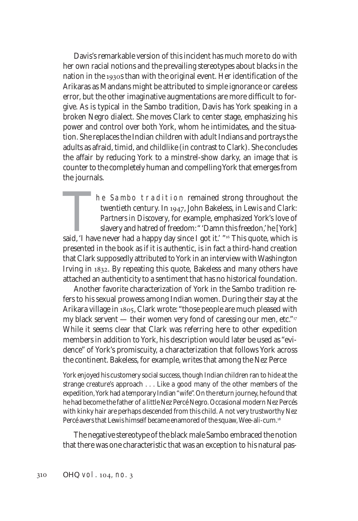Davis's remarkable version of this incident has much more to do with her own racial notions and the prevailing stereotypes about blacks in the nation in the 1930s than with the original event. Her identification of the Arikaras as Mandans might be attributed to simple ignorance or careless error, but the other imaginative augmentations are more difficult to forgive. As is typical in the Sambo tradition, Davis has York speaking in a broken Negro dialect. She moves Clark to center stage, emphasizing his power and control over both York, whom he intimidates, and the situation. She replaces the Indian children with adult Indians and portrays the adults as afraid, timid, and childlike (in contrast to Clark). She concludes the affair by reducing York to a minstrel-show darky, an image that is counter to the completely human and compelling York that emerges from the journals.

The Sambo tradition remained strong throughout the twentieth century. In 1947, John Bakeless, in *Lewis and Clark:* Partners in Discovery, for example, emphasized York's love of slavery and hatred of freedom: "Damn this fr twentieth century. In 1947, John Bakeless, in *Lewis and Clark: Partners in Discovery*, for example, emphasized York's love of slavery and hatred of freedom: " 'Damn this freedon,' he [York] presented in the book as if it is authentic, is in fact a third-hand creation that Clark supposedly attributed to York in an interview with Washington Irving in 1832. By repeating this quote, Bakeless and many others have attached an authenticity to a sentiment that has no historical foundation.

Another favorite characterization of York in the Sambo tradition refers to his sexual prowess among Indian women. During their stay at the Arikara village in 1805, Clark wrote: "those people are much pleased with my black servent — their women very fond of caressing our men, etc."<sup>17</sup> While it seems clear that Clark was referring here to other expedition members in addition to York, his description would later be used as "evidence" of York's promiscuity, a characterization that follows York across the continent. Bakeless, for example, writes that among the Nez Perce

York enjoyed his customery social success, though Indian children ran to hide at the strange creature's approach . . . Like a good many of the other members of the expedition, York had a temporary Indian "wife". On the return journey, he found that he had become the father of a little Nez Percé Negro. Occasional modern Nez Percés with kinky hair are perhaps descended from this child. A not very trustworthy Nez Percé avers that Lewis himself became enamored of the squaw, Wee-ali-cum.

The negative stereotype of the black male Sambo embraced the notion that there was one characteristic that was an exception to his natural pas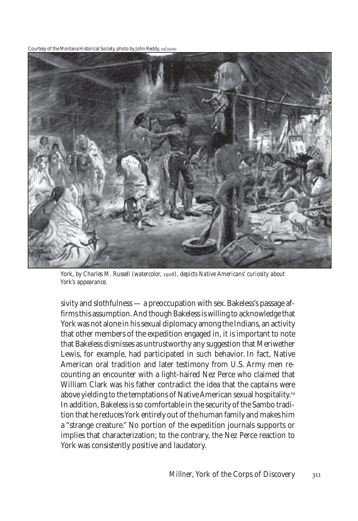Courtesy of the Montana Historical Society, photo by John Reddy, 10/2000



York, by Charles M. Russell (watercolor, 1908), depicts Native Americans' curiosity about *York's appearance.*

sivity and slothfulness — a preoccupation with sex. Bakeless's passage affirms this assumption. And though Bakeless is willing to acknowledge that York was not alone in his sexual diplomacy among the Indians, an activity that other members of the expedition engaged in, it is important to note that Bakeless dismisses as untrustworthy any suggestion that Meriwether Lewis, for example, had participated in such behavior. In fact, Native American oral tradition and later testimony from U.S. Army men recounting an encounter with a light-haired Nez Perce who claimed that William Clark was his father contradict the idea that the captains were above yielding to the temptations of Native American sexual hospitality. In addition, Bakeless is so comfortable in the security of the Sambo tradition that he reduces York entirely out of the human family and makes him a "strange creature." No portion of the expedition journals supports or implies that characterization; to the contrary, the Nez Perce reaction to York was consistently positive and laudatory.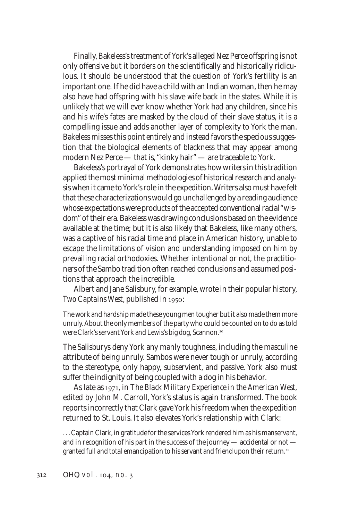Finally, Bakeless's treatment of York's alleged Nez Perce offspring is not only offensive but it borders on the scientifically and historically ridiculous. It should be understood that the question of York's fertility is an important one. If he did have a child with an Indian woman, then he may also have had offspring with his slave wife back in the states. While it is unlikely that we will ever know whether York had any children, since his and his wife's fates are masked by the cloud of their slave status, it is a compelling issue and adds another layer of complexity to York the man. Bakeless misses this point entirely and instead favors the specious suggestion that the biological elements of blackness that may appear among modern Nez Perce — that is, "kinky hair" — are traceable to York.

Bakeless's portrayal of York demonstrates how writers in this tradition applied the most minimal methodologies of historical research and analysis when it came to York's role in the expedition. Writers also must have felt that these characterizations would go unchallenged by a reading audience whose expectations were products of the accepted conventional racial "wisdom" of their era. Bakeless was drawing conclusions based on the evidence available at the time; but it is also likely that Bakeless, like many others, was a captive of his racial time and place in American history, unable to escape the limitations of vision and understanding imposed on him by prevailing racial orthodoxies. Whether intentional or not, the practitioners of the Sambo tradition often reached conclusions and assumed positions that approach the incredible.

Albert and Jane Salisbury, for example, wrote in their popular history, *Two Captains West*, published in 1950:

The work and hardship made these young men tougher but it also made them more unruly. About the only members of the party who could be counted on to do as told were Clark's servant York and Lewis's big dog, Scannon.

The Salisburys deny York any manly toughness, including the masculine attribute of being unruly. Sambos were never tough or unruly, according to the stereotype, only happy, subservient, and passive. York also must suffer the indignity of being coupled with a dog in his behavior.

As late as 1971, in *The Black Military Experience in the American West*, edited by John M. Carroll, York's status is again transformed. The book reports incorrectly that Clark gave York his freedom when the expedition returned to St. Louis. It also elevates York's relationship with Clark:

. . . Captain Clark, in gratitude for the services York rendered him as his manservant, and in recognition of his part in the success of the journey — accidental or not granted full and total emancipation to his servant and friend upon their return.<sup>21</sup>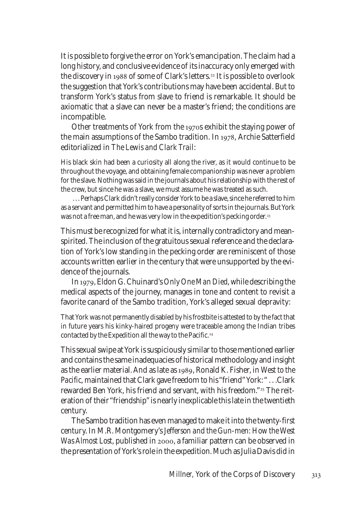It is possible to forgive the error on York's emancipation. The claim had a long history, and conclusive evidence of its inaccuracy only emerged with the discovery in 1988 of some of Clark's letters.<sup>22</sup> It is possible to overlook the suggestion that York's contributions may have been accidental. But to transform York's status from slave to friend is remarkable. It should be axiomatic that a slave can never be a master's friend; the conditions are incompatible.

Other treatments of York from the 1970s exhibit the staying power of the main assumptions of the Sambo tradition. In 1978, Archie Satterfield editorialized in *The Lewis and Clark Trail*:

His black skin had been a curiosity all along the river, as it would continue to be throughout the voyage, and obtaining female companionship was never a problem for the slave. Nothing was said in the journals about his relationship with the rest of the crew, but since he was a slave, we must assume he was treated as such.

 . . . Perhaps Clark didn't really consider York to be a slave, since he referred to him as a servant and permitted him to have a personality of sorts in the journals. But York was not a free man, and he was very low in the expedition's pecking order.<sup>23</sup>

This must be recognized for what it is, internally contradictory and meanspirited. The inclusion of the gratuitous sexual reference and the declaration of York's low standing in the pecking order are reminiscent of those accounts written earlier in the century that were unsupported by the evidence of the journals.

In 1979, Eldon G. Chuinard's *Only One Man Died*, while describing the medical aspects of the journey, manages in tone and content to revisit a favorite canard of the Sambo tradition, York's alleged sexual depravity:

That York was not permanently disabled by his frostbite is attested to by the fact that in future years his kinky-haired progeny were traceable among the Indian tribes contacted by the Expedition all the way to the Pacific.<sup>24</sup>

This sexual swipe at York is suspiciously similar to those mentioned earlier and contains the same inadequacies of historical methodology and insight as the earlier material. And as late as 1989, Ronald K. Fisher, in *West to the Pacific,* maintained that Clark gave freedom to his "friend" York: " . . .Clark rewarded Ben York, his friend and servant, with his freedom."<sup>25</sup> The reiteration of their "friendship" is nearly inexplicable this late in the twentieth century.

The Sambo tradition has even managed to make it into the twenty-first century. In M.R. Montgomery's *Jefferson and the Gun-men: How the West Was Almost Lost*, published in 2000, a familiar pattern can be observed in the presentation of York's role in the expedition. Much as Julia Davis did in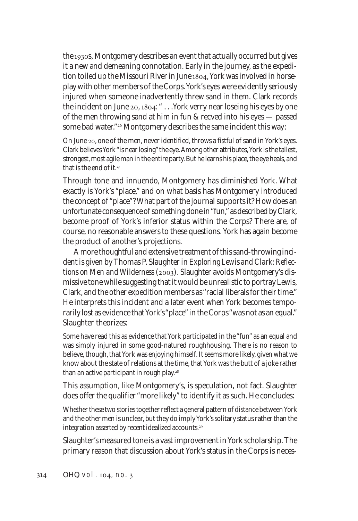the 1930s, Montgomery describes an event that actually occurred but gives it a new and demeaning connotation. Early in the journey, as the expedition toiled up the Missouri River in June 1804, York was involved in horseplay with other members of the Corps. York's eyes were evidently seriously injured when someone inadvertently threw sand in them. Clark records the incident on June  $20, 1804$ : " . . . York verry near loseing his eyes by one of the men throwing sand at him in fun & recved into his eyes — passed some bad water."<sup>26</sup> Montgomery describes the same incident this way:

On June 20, one of the men, never identified, throws a fistful of sand in York's eyes. Clark believes York "is near losing" the eye. Among other attributes, York is the tallest, strongest, most agile man in the entire party. But he learns his place, the eye heals, and that is the end of it.<sup>27</sup>

Through tone and innuendo, Montgomery has diminished York. What exactly is York's "place," and on what basis has Montgomery introduced the concept of "place"? What part of the journal supports it? How does an unfortunate consequence of something done in "fun," as described by Clark, become proof of York's inferior status within the Corps? There are, of course, no reasonable answers to these questions. York has again become the product of another's projections.

A more thoughtful and extensive treatment of this sand-throwing incident is given by Thomas P. Slaughter in *Exploring Lewis and Clark: Reflections on Men and Wilderness* (2003). Slaughter avoids Montgomery's dismissive tone while suggesting that it would be unrealistic to portray Lewis, Clark, and the other expedition members as "racial liberals for their time." He interprets this incident and a later event when York becomes temporarily lost as evidence that York's "place" in the Corps "was not as an equal." Slaughter theorizes:

Some have read this as evidence that York participated in the "fun" as an equal and was simply injured in some good-natured roughhousing. There is no reason to believe, though, that York was enjoying himself. It seems more likely, given what we know about the state of relations at the time, that York was the butt of a joke rather than an active participant in rough play.<sup>28</sup>

This assumption, like Montgomery's, is speculation, not fact. Slaughter does offer the qualifier "more likely" to identify it as such. He concludes:

Whether these two stories together reflect a general pattern of distance between York and the other men is unclear, but they do imply York's solitary status rather than the integration asserted by recent idealized accounts.

Slaughter's measured tone is a vast improvement in York scholarship. The primary reason that discussion about York's status in the Corps is neces-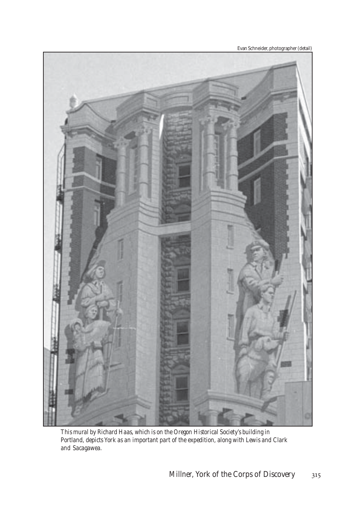Evan Schneider, photographer (detail)



*This mural by Richard Haas, which is on the Oregon Historical Society's building in Portland, depicts York as an important part of the expedition, along with Lewis and Clark and Sacagawea.*

*Millner, York of the Corps of Discovery* 315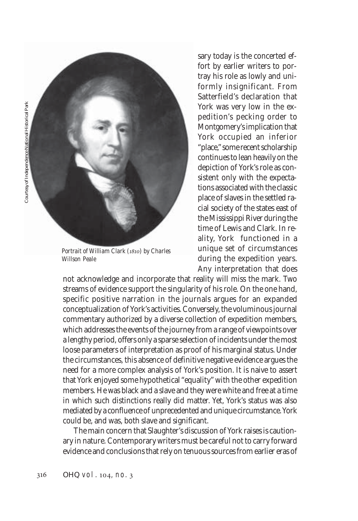

*Portrait of William Clark () by Charles Willson Peale*

sary today is the concerted effort by earlier writers to portray his role as lowly and uniformly insignificant. From Satterfield's declaration that York was very low in the expedition's pecking order to Montgomery's implication that York occupied an inferior "place," some recent scholarship continues to lean heavily on the depiction of York's role as consistent only with the expectations associated with the classic place of slaves in the settled racial society of the states east of the Mississippi River during the time of Lewis and Clark. In reality, York functioned in a unique set of circumstances during the expedition years. Any interpretation that does

not acknowledge and incorporate that reality will miss the mark. Two streams of evidence support the singularity of his role. On the one hand, specific positive narration in the journals argues for an expanded conceptualization of York's activities. Conversely, the voluminous journal commentary authorized by a diverse collection of expedition members, which addresses the events of the journey from a range of viewpoints over a lengthy period, offers only a sparse selection of incidents under the most loose parameters of interpretation as proof of his marginal status. Under the circumstances, this absence of definitive negative evidence argues the need for a more complex analysis of York's position. It is naive to assert that York enjoyed some hypothetical "equality" with the other expedition members. He was black and a slave and they were white and free at a time in which such distinctions really did matter. Yet, York's status was also mediated by a confluence of unprecedented and unique circumstance. York could be, and was, both slave and significant.

The main concern that Slaughter's discussion of York raises is cautionary in nature. Contemporary writers must be careful not to carry forward evidence and conclusions that rely on tenuous sources from earlier eras of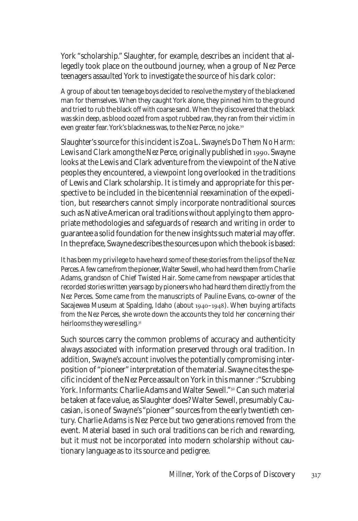York "scholarship." Slaughter, for example, describes an incident that allegedly took place on the outbound journey, when a group of Nez Perce teenagers assaulted York to investigate the source of his dark color:

A group of about ten teenage boys decided to resolve the mystery of the blackened man for themselves. When they caught York alone, they pinned him to the ground and tried to rub the black off with coarse sand. When they discovered that the black was skin deep, as blood oozed from a spot rubbed raw, they ran from their victim in even greater fear. York's blackness was, to the Nez Perce, no joke.

Slaughter's source for this incident is Zoa L. Swayne's *Do Them No Harm:* Lewis and Clark among the Nez Perce, originally published in 1990. Swayne looks at the Lewis and Clark adventure from the viewpoint of the Native peoples they encountered, a viewpoint long overlooked in the traditions of Lewis and Clark scholarship. It is timely and appropriate for this perspective to be included in the bicentennial reexamination of the expedition, but researchers cannot simply incorporate nontraditional sources such as Native American oral traditions without applying to them appropriate methodologies and safeguards of research and writing in order to guarantee a solid foundation for the new insights such material may offer. In the preface, Swayne describes the sources upon which the book is based:

It has been my privilege to have heard some of these stories from the lips of the Nez Perces. A few came from the pioneer, Walter Sewell, who had heard them from Charlie Adams, grandson of Chief Twisted Hair. Some came from newspaper articles that recorded stories written years ago by pioneers who had heard them directly from the Nez Perces. Some came from the manuscripts of Pauline Evans, co-owner of the Sacajewea Museum at Spalding, Idaho (about 1940–1948). When buying artifacts from the Nez Perces, she wrote down the accounts they told her concerning their heirlooms they were selling.<sup>31</sup>

Such sources carry the common problems of accuracy and authenticity always associated with information preserved through oral tradition. In addition, Swayne's account involves the potentially compromising interposition of "pioneer" interpretation of the material. Swayne cites the specific incident of the Nez Perce assault on York in this manner :"Scrubbing York. Informants: Charlie Adams and Walter Sewell."<sup>32</sup> Can such material be taken at face value, as Slaughter does? Walter Sewell, presumably Caucasian, is one of Swayne's "pioneer" sources from the early twentieth century. Charlie Adams is Nez Perce but two generations removed from the event. Material based in such oral traditions can be rich and rewarding, but it must not be incorporated into modern scholarship without cautionary language as to its source and pedigree.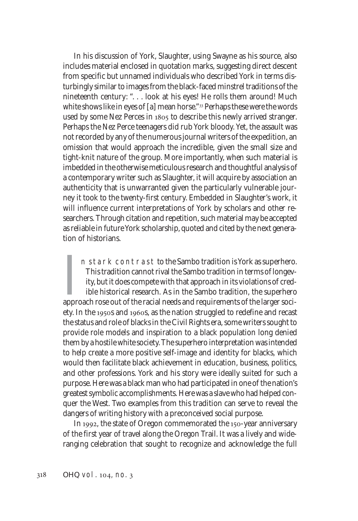In his discussion of York, Slaughter, using Swayne as his source, also includes material enclosed in quotation marks, suggesting direct descent from specific but unnamed individuals who described York in terms disturbingly similar to images from the black-faced minstrel traditions of the nineteenth century: ". . . look at his eyes! He rolls them around! Much white shows like in eyes of  $[a]$  mean horse." $^{33}$  Perhaps these were the words used by some Nez Perces in 1805 to describe this newly arrived stranger. Perhaps the Nez Perce teenagers did rub York bloody. Yet, the assault was not recorded by any of the numerous journal writers of the expedition, an omission that would approach the incredible, given the small size and tight-knit nature of the group. More importantly, when such material is imbedded in the otherwise meticulous research and thoughtful analysis of a contemporary writer such as Slaughter, it will acquire by association an authenticity that is unwarranted given the particularly vulnerable journey it took to the twenty-first century. Embedded in Slaughter's work, it will influence current interpretations of York by scholars and other researchers. Through citation and repetition, such material may be accepted as reliable in future York scholarship, quoted and cited by the next generation of historians.

In stark contrast to the Sambo tradition is York as superhero.<br>This tradition cannot rival the Sambo tradition in terms of longevity, but it does compete with that approach in its violations of credible historical researc n stark contrast to the Sambo tradition is York as superhero. This tradition cannot rival the Sambo tradition in terms of longevity, but it does compete with that approach in its violations of credible historical research. As in the Sambo tradition, the superhero ety. In the 1950s and 1960s, as the nation struggled to redefine and recast the status and role of blacks in the Civil Rights era, some writers sought to provide role models and inspiration to a black population long denied them by a hostile white society. The superhero interpretation was intended to help create a more positive self-image and identity for blacks, which would then facilitate black achievement in education, business, politics, and other professions. York and his story were ideally suited for such a purpose. Here was a black man who had participated in one of the nation's greatest symbolic accomplishments. Here was a slave who had helped conquer the West. Two examples from this tradition can serve to reveal the dangers of writing history with a preconceived social purpose.

In 1992, the state of Oregon commemorated the 150-year anniversary of the first year of travel along the Oregon Trail. It was a lively and wideranging celebration that sought to recognize and acknowledge the full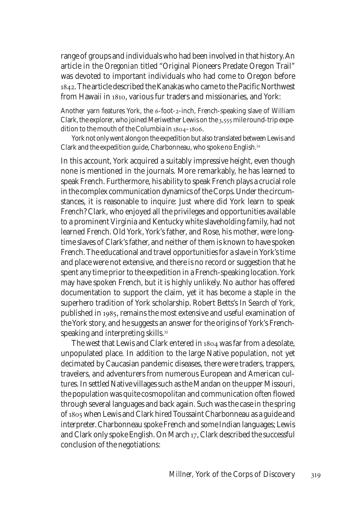range of groups and individuals who had been involved in that history. An article in the *Oregonian* titled "Original Pioneers Predate Oregon Trail" was devoted to important individuals who had come to Oregon before . The article described the Kanakas who came to the Pacific Northwest from Hawaii in 1810, various fur traders and missionaries, and York:

Another yarn features York, the 6-foot-2-inch, French-speaking slave of William Clark, the explorer, who joined Meriwether Lewis on the  $3,555$  mile round-trip expedition to the mouth of the Columbia in  $1804 - 1806$ .

York not only went along on the expedition but also translated between Lewis and Clark and the expedition guide, Charbonneau, who spoke no English.

In this account, York acquired a suitably impressive height, even though none is mentioned in the journals. More remarkably, he has learned to speak French. Furthermore, his ability to speak French plays a crucial role in the complex communication dynamics of the Corps. Under the circumstances, it is reasonable to inquire: Just where did York learn to speak French? Clark, who enjoyed all the privileges and opportunities available to a prominent Virginia and Kentucky white slaveholding family, had not learned French. Old York, York's father, and Rose, his mother, were longtime slaves of Clark's father, and neither of them is known to have spoken French. The educational and travel opportunities for a slave in York's time and place were not extensive, and there is no record or suggestion that he spent any time prior to the expedition in a French-speaking location. York may have spoken French, but it is highly unlikely. No author has offered documentation to support the claim, yet it has become a staple in the superhero tradition of York scholarship. Robert Betts's *In Search of York*, published in 1985, remains the most extensive and useful examination of the York story, and he suggests an answer for the origins of York's Frenchspeaking and interpreting skills.<sup>35</sup>

The west that Lewis and Clark entered in 1804 was far from a desolate, unpopulated place. In addition to the large Native population, not yet decimated by Caucasian pandemic diseases, there were traders, trappers, travelers, and adventurers from numerous European and American cultures. In settled Native villages such as the Mandan on the upper Missouri, the population was quite cosmopolitan and communication often flowed through several languages and back again. Such was the case in the spring of 1805 when Lewis and Clark hired Toussaint Charbonneau as a guide and interpreter. Charbonneau spoke French and some Indian languages; Lewis and Clark only spoke English. On March 17, Clark described the successful conclusion of the negotiations: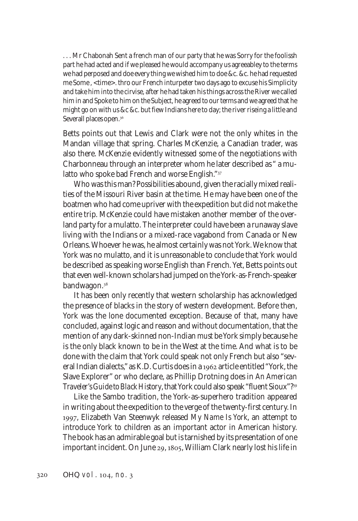. . . Mr Chabonah Sent a french man of our party that he was Sorry for the foolissh part he had acted and if we pleased he would accompany us agreeabley to the terms we had perposed and doe every thing we wished him to doe &c. &c. he had requested me Some , <time>. thro our French inturpeter two days ago to excuse his Simplicity and take him into the cirvise, after he had taken his things across the River we called him in and Spoke to him on the Subject, he agreed to our terms and we agreed that he might go on with us &c &c. but fiew Indians here to day; the river riseing a little and Severall places open.<sup>36</sup>

Betts points out that Lewis and Clark were not the only whites in the Mandan village that spring. Charles McKenzie, a Canadian trader, was also there. McKenzie evidently witnessed some of the negotiations with Charbonneau through an interpreter whom he later described as " a mulatto who spoke bad French and worse English."

Who was this man? Possibilities abound, given the racially mixed realities of the Missouri River basin at the time. He may have been one of the boatmen who had come upriver with the expedition but did not make the entire trip. McKenzie could have mistaken another member of the overland party for a mulatto. The interpreter could have been a runaway slave living with the Indians or a mixed-race vagabond from Canada or New Orleans. Whoever he was, he almost certainly was not York. We know that York was no mulatto, and it is unreasonable to conclude that York would be described as speaking worse English than French. Yet, Betts points out that even well-known scholars had jumped on the York-as-French-speaker bandwagon.

It has been only recently that western scholarship has acknowledged the presence of blacks in the story of western development. Before then, York was the lone documented exception. Because of that, many have concluded, against logic and reason and without documentation, that the mention of any dark-skinned non-Indian *must* be York simply because he is the only black known to be in the West at the time. And what is to be done with the claim that York could speak not only French but also "several Indian dialects," as K.D. Curtis does in a 1962 article entitled "York, the Slave Explorer" or who declare, as Phillip Drotning does in *An American Traveler's Guide to Black History*, that York could also speak "fluent Sioux"?

Like the Sambo tradition, the York-as-superhero tradition appeared in writing about the expedition to the verge of the twenty-first century. In , Elizabeth Van Steenwyk released *My Name Is York*, an attempt to introduce York to children as an important actor in American history. The book has an admirable goal but is tarnished by its presentation of one important incident. On June 29, 1805, William Clark nearly lost his life in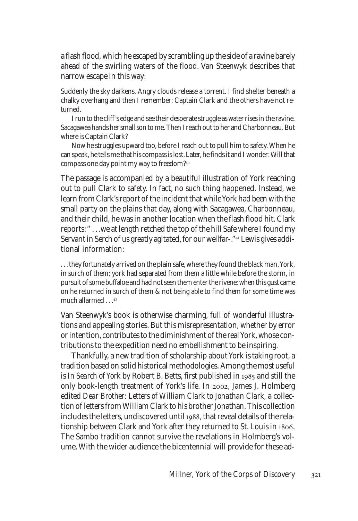a flash flood, which he escaped by scrambling up the side of a ravine barely ahead of the swirling waters of the flood. Van Steenwyk describes that narrow escape in this way:

Suddenly the sky darkens. Angry clouds release a torrent. I find shelter beneath a chalky overhang and then I remember: Captain Clark and the others have not returned.

I run to the cliff's edge and see their desperate struggle as water rises in the ravine. Sacagawea hands her small son to me. Then I reach out to her and Charbonneau. But where is Captain Clark?

Now he struggles upward too, before I reach out to pull him to safety. When he can speak, he tells me that his compass is lost. Later, he finds it and I wonder: Will that compass one day point my way to freedom?

The passage is accompanied by a beautiful illustration of York reaching out to pull Clark to safety. In fact, no such thing happened. Instead, we learn from Clark's report of the incident that while York had been with the small party on the plains that day, along with Sacagawea, Charbonneau, and their child, he was in another location when the flash flood hit. Clark reports: " . . .we at length retched the top of the hill Safe where I found my Servant in Serch of us greatly agitated, for our wellfar-."<sup>41</sup> Lewis gives additional information:

. . . they fortunately arrived on the plain safe, where they found the black man, York, in surch of them; york had separated from them a little while before the storm, in pursuit of some buffaloe and had not seen them enter the rivene; when this gust came on he returned in surch of them & not being able to find them for some time was much allarmed . . . <sup>42</sup>

Van Steenwyk's book is otherwise charming, full of wonderful illustrations and appealing stories. But this misrepresentation, whether by error or intention, contributes to the diminishment of the real York, whose contributions to the expedition need no embellishment to be inspiring.

Thankfully, a new tradition of scholarship about York is taking root, a tradition based on solid historical methodologies. Among the most useful is *In Search of York* by Robert B. Betts, first published in 1985 and still the only book-length treatment of York's life. In 2002, James J. Holmberg edited *Dear Brother: Letters of William Clark to Jonathan Clark*, a collection of letters from William Clark to his brother Jonathan. This collection includes the letters, undiscovered until 1988, that reveal details of the relationship between Clark and York after they returned to St. Louis in . The Sambo tradition cannot survive the revelations in Holmberg's volume. With the wider audience the bicentennial will provide for these ad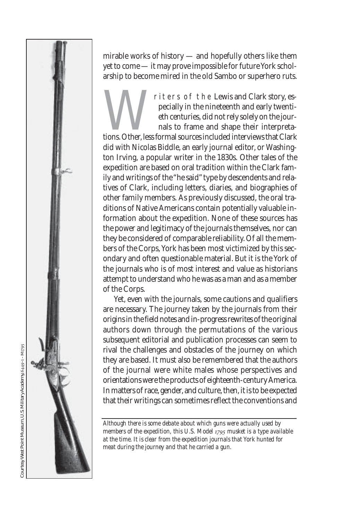mirable works of history — and hopefully others like them yet to come — it may prove impossible for future York scholarship to become mired in the old Sambo or superhero ruts.

Triters of the Lewis and Clark story, especially in the nineteenth and early twentiesthe centuries, did not rely solely on the journals to frame and shape their interpretations. Other, less formal sources included intervie pecially in the nineteenth and early twentieth centuries, did not rely solely on the journals to frame and shape their interpreta-

did with Nicolas Biddle, an early journal editor, or Washington Irving, a popular writer in the 1830s. Other tales of the expedition are based on oral tradition within the Clark family and writings of the "he said" type by descendents and relatives of Clark, including letters, diaries, and biographies of other family members. As previously discussed, the oral traditions of Native Americans contain potentially valuable information about the expedition. None of these sources has the power and legitimacy of the journals themselves, nor can they be considered of comparable reliability. Of all the members of the Corps, York has been most victimized by this secondary and often questionable material. But it is the York of the journals who is of most interest and value as historians attempt to understand who he was as a man and as a member of the Corps.

Yet, even with the journals, some cautions and qualifiers are necessary. The journey taken by the journals from their origins in the field notes and in-progress rewrites of the original authors down through the permutations of the various subsequent editorial and publication processes can seem to rival the challenges and obstacles of the journey on which they are based. It must also be remembered that the authors of the journal were white males whose perspectives and orientations were the products of eighteenth-century America. In matters of race, gender, and culture, then, it is to be expected that their writings can sometimes reflect the conventions and

*Although there is some debate about which guns were actually used by members of the expedition, this U.S. Model 1795 musket is a type available at the time. It is clear from the expedition journals that York hunted for meat during the journey and that he carried a gun.*

*OHQ* vol. , no.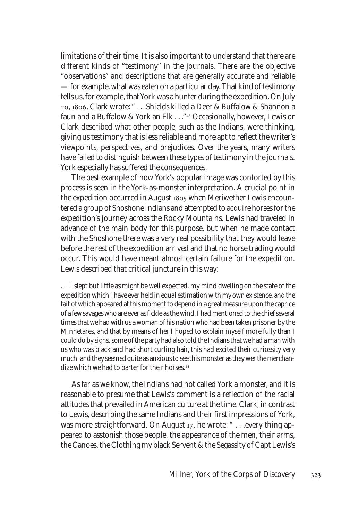limitations of their time. It is also important to understand that there are different kinds of "testimony" in the journals. There are the objective "observations" and descriptions that are generally accurate and reliable — for example, what was eaten on a particular day. That kind of testimony tells us, for example, that York was a hunter during the expedition. On July 20, 1806, Clark wrote: " . . . Shields killed a Deer & Buffalow & Shannon a faun and a Buffalow & York an Elk . . . "<sup>43</sup> Occasionally, however, Lewis or Clark described what other people, such as the Indians, were thinking, giving us testimony that is less reliable and more apt to reflect the writer's viewpoints, perspectives, and prejudices. Over the years, many writers have failed to distinguish between these types of testimony in the journals. York especially has suffered the consequences.

The best example of how York's popular image was contorted by this process is seen in the York-as-monster interpretation. A crucial point in the expedition occurred in August 1805 when Meriwether Lewis encountered a group of Shoshone Indians and attempted to acquire horses for the expedition's journey across the Rocky Mountains. Lewis had traveled in advance of the main body for this purpose, but when he made contact with the Shoshone there was a very real possibility that they would leave before the rest of the expedition arrived and that no horse trading would occur. This would have meant almost certain failure for the expedition. Lewis described that critical juncture in this way:

. . . I slept but little as might be well expected, my mind dwelling on the state of the expedition which I have ever held in equal estimation with my own existence, and the fait of which appeared at this moment to depend in a great measure upon the caprice of a few savages who are ever as fickle as the wind. I had mentioned to the chief several times that we had with us a woman of his nation who had been taken prisoner by the Minnetares, and that by means of her I hoped to explain myself more fully than I could do by signs. some of the party had also told the Indians that we had a man with us who was black and had short curling hair, this had excited their curiossity very much. and they seemed quite as anxious to see this monster as they wer the merchandize which we had to barter for their horses.

As far as we know, the Indians had not called York a monster, and it is reasonable to presume that Lewis's comment is a reflection of the racial attitudes that prevailed in American culture at the time. Clark, in contrast to Lewis, describing the same Indians and their first impressions of York, was more straightforward. On August 17, he wrote: " . . . every thing appeared to asstonish those people. the appearance of the men, their arms, the Canoes, the Clothing my black Servent & the Segassity of Capt Lewis's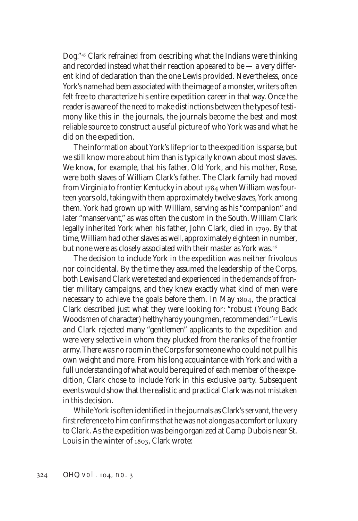Dog."<sup>45</sup> Clark refrained from describing what the Indians were thinking and recorded instead what their reaction appeared to be — a very different kind of declaration than the one Lewis provided. Nevertheless, once York's name had been associated with the image of a monster, writers often felt free to characterize his entire expedition career in that way. Once the reader is aware of the need to make distinctions between the types of testimony like this in the journals, the journals become the best and most reliable source to construct a useful picture of who York was and what he did on the expedition.

The information about York's life prior to the expedition is sparse, but we still know more about him than is typically known about most slaves. We know, for example, that his father, Old York, and his mother, Rose, were both slaves of William Clark's father. The Clark family had moved from Virginia to frontier Kentucky in about 1784 when William was fourteen years old, taking with them approximately twelve slaves, York among them. York had grown up with William, serving as his "companion" and later "manservant," as was often the custom in the South. William Clark legally inherited York when his father, John Clark, died in 1799. By that time, William had other slaves as well, approximately eighteen in number, but none were as closely associated with their master as York was.<sup>46</sup>

The decision to include York in the expedition was neither frivolous nor coincidental. By the time they assumed the leadership of the Corps, both Lewis and Clark were tested and experienced in the demands of frontier military campaigns, and they knew exactly what kind of men were necessary to achieve the goals before them. In May 1804, the practical Clark described just what they were looking for: "robust (Young Back Woodsmen of character) helthy hardy young men, recommended."<sup>47</sup> Lewis and Clark rejected many "gentlemen" applicants to the expedition and were very selective in whom they plucked from the ranks of the frontier army. There was no room in the Corps for someone who could not pull his own weight and more. From his long acquaintance with York and with a full understanding of what would be required of each member of the expedition, Clark chose to include York in this exclusive party. Subsequent events would show that the realistic and practical Clark was not mistaken in this decision.

While York is often identified in the journals as Clark's servant, the very first reference to him confirms that he was not along as a comfort or luxury to Clark. As the expedition was being organized at Camp Dubois near St. Louis in the winter of 1803, Clark wrote: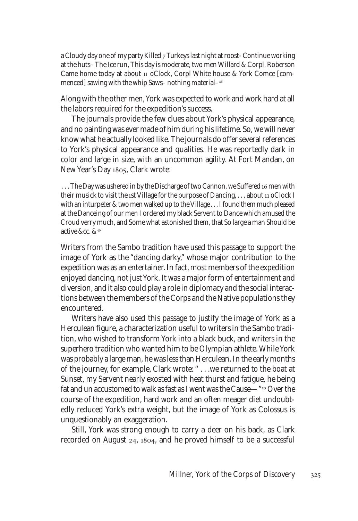a Cloudy day one of my party Killed  $7$  Turkeys last night at roost- Continue working at the huts– The Ice run, This day is moderate, two men Willard & Corpl. Roberson Came home today at about 11 oClock, Corpl White house & York Comce [commenced] sawing with the whip Saws– nothing material–

Along with the other men, York was expected to work and work hard at all the labors required for the expedition's success.

The journals provide the few clues about York's physical appearance, and no painting was ever made of him during his lifetime. So, we will never know what he actually looked like. The journals do offer several references to York's physical appearance and qualities. He was reportedly dark in color and large in size, with an uncommon agility. At Fort Mandan, on New Year's Day 1805, Clark wrote:

... The Day was ushered in by the Discharge of two Cannon, we Suffered 16 men with their musick to visit the 1st Village for the purpose of Dancing,  $\dots$  about 11 oClock I with an inturpeter & two men walked up to the Village . . . I found them much pleased at the Danceing of our men I ordered my black Servent to Dance which amused the Croud verry much, and Some what astonished them, that So large a man Should be active &cc. &

Writers from the Sambo tradition have used this passage to support the image of York as the "dancing darky," whose major contribution to the expedition was as an entertainer. In fact, most members of the expedition enjoyed dancing, not just York. It was a major form of entertainment and diversion, and it also could play a role in diplomacy and the social interactions between the members of the Corps and the Native populations they encountered.

Writers have also used this passage to justify the image of York as a Herculean figure, a characterization useful to writers in the Sambo tradition, who wished to transform York into a black buck, and writers in the superhero tradition who wanted him to be Olympian athlete. While York was probably a large man, he was less than Herculean. In the early months of the journey, for example, Clark wrote: " . . .we returned to the boat at Sunset, my Servent nearly exosted with heat thurst and fatigue, he being fat and un accustomed to walk as fast as I went was the Cause—"<sup>50</sup> Over the course of the expedition, hard work and an often meager diet undoubtedly reduced York's extra weight, but the image of York as Colossus is unquestionably an exaggeration.

Still, York was strong enough to carry a deer on his back, as Clark recorded on August  $24$ ,  $1804$ , and he proved himself to be a successful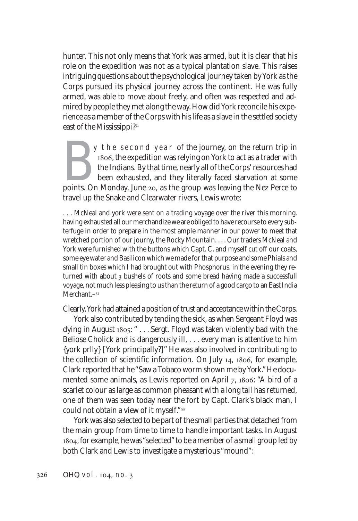hunter. This not only means that York was armed, but it is clear that his role on the expedition was not as a typical plantation slave. This raises intriguing questions about the psychological journey taken by York as the Corps pursued its physical journey across the continent. He was fully armed, was able to move about freely, and often was respected and admired by people they met along the way. How did York reconcile his experience as a member of the Corps with his life as a slave in the settled society east of the Mississippi?

By the second year of the journey, on the return trip in 1806, the expedition was relying on York to act as a trader with the Indians. By that time, nearly all of the Corps' resources had been exhausted, and they literally 1806, the expedition was relying on York to act as a trader with the Indians. By that time, nearly all of the Corps' resources had been exhausted, and they literally faced starvation at some travel up the Snake and Clearwater rivers, Lewis wrote:

. . . McNeal and york were sent on a trading voyage over the river this morning. having exhausted all our merchandize we are obliged to have recourse to every subterfuge in order to prepare in the most ample manner in our power to meet that wretched portion of our journy, the Rocky Mountain. . . . Our traders McNeal and York were furnished with the buttons which Capt. C. and myself cut off our coats, some eye water and Basilicon which we made for that purpose and some Phials and small tin boxes which I had brought out with Phosphorus. in the evening they returned with about 3 bushels of roots and some bread having made a successfull voyage, not much less pleasing to us than the return of a good cargo to an East India Merchant.<sup>-52</sup>

Clearly, York had attained a position of trust and acceptance within the Corps.

York also contributed by tending the sick, as when Sergeant Floyd was dying in August 1805: " . . . Sergt. Floyd was taken violently bad with the Beliose Cholick and is dangerously ill, . . . every man is attentive to him {york prlly} [York principally?]" He was also involved in contributing to the collection of scientific information. On July 14, 1806, for example, Clark reported that he "Saw a Tobaco worm shown me by *York*." He documented some animals, as Lewis reported on April 7, 1806: "A bird of a scarlet colour as large as common pheasant with a long tail has returned, one of them was seen today near the fort by Capt. Clark's black man, I could not obtain a view of it myself."

York was also selected to be part of the small parties that detached from the main group from time to time to handle important tasks. In August , for example, he was "selected" to be a member of a small group led by both Clark and Lewis to investigate a mysterious "mound":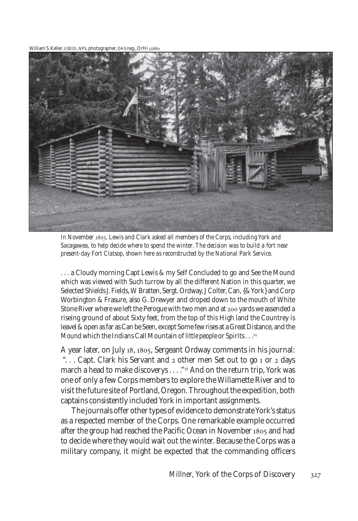William S. Keller, USDOI, NPS, photographer, OHS neg., OrHi



*In November , Lewis and Clark asked all members of the Corps, including York and Sacagawea, to help decide where to spend the winter. The decision was to build a fort near present-day Fort Clatsop, shown here as reconstructed by the National Park Service.*

... a Cloudy morning Capt Lewis & my Self Concluded to go and See the Mound which was viewed with Such turrow by all the different Nation in this quarter, we Selected Shields J. Fields, W Bratten, Sergt. Ordway, J Colter, Can, {& York} and Corp Worbington & Frasure, also G. Drewyer and droped down to the mouth of White Stone River where we left the Perogue with two men and at 200 yards we assended a riseing ground of about Sixty feet, from the top of this High land the Countrey is leavel & open as far as Can be Seen, except Some few rises at a Great Distance, and the *Mound* which the Indians Call Mountain of *little people* or Spirits . . .

A year later, on July 18, 1805, Sergeant Ordway comments in his journal: "... Capt. Clark his Servant and 2 other men Set out to go 1 or 2 days march a head to make discoverys . . . ."<sup>55</sup> And on the return trip, York was one of only a few Corps members to explore the Willamette River and to visit the future site of Portland, Oregon. Throughout the expedition, both captains consistently included York in important assignments.

The journals offer other types of evidence to demonstrate York's status as a respected member of the Corps. One remarkable example occurred after the group had reached the Pacific Ocean in November 1805 and had to decide where they would wait out the winter. Because the Corps was a military company, it might be expected that the commanding officers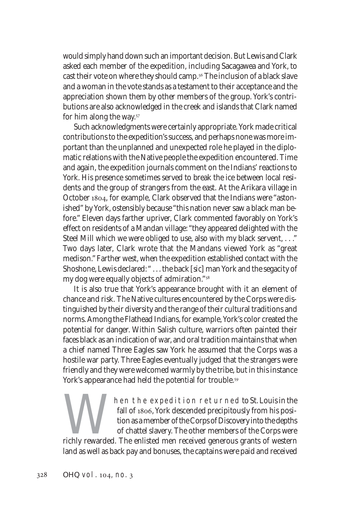would simply hand down such an important decision. But Lewis and Clark asked each member of the expedition, including Sacagawea and York, to cast their vote on where they should camp.<sup>56</sup> The inclusion of a black slave and a woman in the vote stands as a testament to their acceptance and the appreciation shown them by other members of the group. York's contributions are also acknowledged in the creek and islands that Clark named for him along the way.

Such acknowledgments were certainly appropriate. York made critical contributions to the expedition's success, and perhaps none was more important than the unplanned and unexpected role he played in the diplomatic relations with the Native people the expedition encountered. Time and again, the expedition journals comment on the Indians' reactions to York. His presence sometimes served to break the ice between local residents and the group of strangers from the east. At the Arikara village in October 1804, for example, Clark observed that the Indians were "astonished" by York, ostensibly because "this nation never saw a black man before." Eleven days farther upriver, Clark commented favorably on York's effect on residents of a Mandan village: "they appeared delighted with the Steel Mill which we were obliged to use, also with my black servent, . . ." Two days later, Clark wrote that the Mandans viewed York as "great medison." Farther west, when the expedition established contact with the Shoshone, Lewis declared: " . . . the back [*sic*] man York and the segacity of my dog were equally objects of admiration."

It is also true that York's appearance brought with it an element of chance and risk. The Native cultures encountered by the Corps were distinguished by their diversity and the range of their cultural traditions and norms. Among the Flathead Indians, for example, York's color created the potential for danger. Within Salish culture, warriors often painted their faces black as an indication of war, and oral tradition maintains that when a chief named Three Eagles saw York he assumed that the Corps was a hostile war party. Three Eagles eventually judged that the strangers were friendly and they were welcomed warmly by the tribe, but in this instance York's appearance had held the potential for trouble.<sup>59</sup>

Mail of 1806, York descended precipitously from his position as a member of the Corps of Discovery into the depths of chattel slavery. The other members of the Corps were richly rewarded. The enlisted men received generous fall of 1806, York descended precipitously from his position as a member of the Corps of Discovery into the depths of chattel slavery. The other members of the Corps were land as well as back pay and bonuses, the captains were paid and received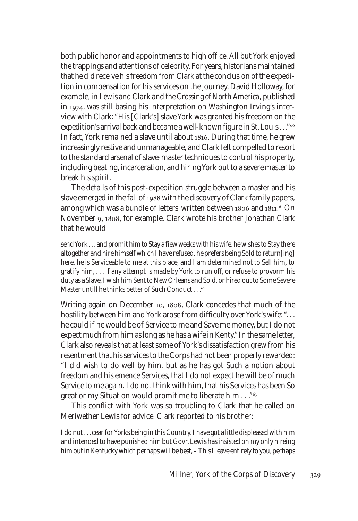both public honor and appointments to high office. All but York enjoyed the trappings and attentions of celebrity. For years, historians maintained that he did receive his freedom from Clark at the conclusion of the expedition in compensation for his services on the journey. David Holloway, for example, in *Lewis and Clark and the Crossing of North America*, published in 1974, was still basing his interpretation on Washington Irving's interview with Clark: "His [Clark's] slave York was granted his freedom on the expedition's arrival back and became a well-known figure in St. Louis . . . "<sup>60</sup> In fact, York remained a slave until about 1816. During that time, he grew increasingly restive and unmanageable, and Clark felt compelled to resort to the standard arsenal of slave-master techniques to control his property, including beating, incarceration, and hiring York out to a severe master to break his spirit.

The details of this post-expedition struggle between a master and his slave emerged in the fall of 1988 with the discovery of Clark family papers, among which was a bundle of letters written between 1806 and 1811.<sup>61</sup> On November 9, 1808, for example, Clark wrote his brother Jonathan Clark that he would

send York . . . and promit him to Stay a fiew weeks with his wife. he wishes to Stay there altogether and hire himself which I have refused. he prefers being Sold to return[ing] here. he is Serviceable to me at this place, and I am determined not to Sell him, to gratify him, . . . if any attempt is made by York to run off, or refuse to provorm his duty as a Slave, I wish him Sent to New Orleans and Sold, or hired out to Some Severe Master untill he thinks better of Such Conduct...<sup>62</sup>

Writing again on December 10, 1808, Clark concedes that much of the hostility between him and York arose from difficulty over York's wife: "... he could if he would be of Service to me and Save me money, but I do not expect much from him as long as he has a wife in Kenty." In the same letter, Clark also reveals that at least some of York's dissatisfaction grew from his resentment that his services to the Corps had not been properly rewarded: "I did wish to do well by him. but as he has got Such a notion about freedom and his emence Services, that I do not expect he will be of much Service to me again. I do not think with him, that his Services has been So great or my Situation would promit me to liberate him . . . "<sup>63</sup>

This conflict with York was so troubling to Clark that he called on Meriwether Lewis for advice. Clark reported to his brother:

I do not . . . cear for Yorks being in this Country. I have got a little displeased with him and intended to have punished him but Govr. Lewis has insisted on my only hireing him out in Kentucky which perhaps will be best, – This I leave entirely to you, perhaps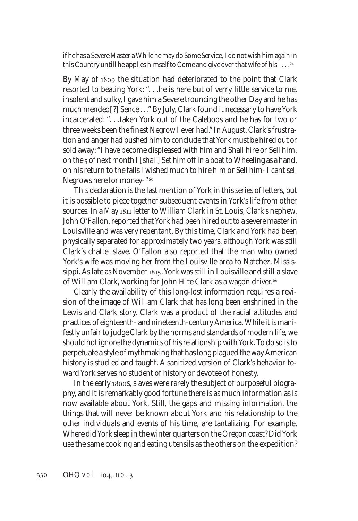if he has a Severe Master a While he may do Some Service, I do not wish him again in this Country untill he applies himself to Come and give over that wife of his- $\dots$ <sup>64</sup>

By May of 1809 the situation had deteriorated to the point that Clark resorted to beating York: ". . .he is here but of verry little service to me, insolent and sulky, I gave him a Severe trouncing the other Day and he has much mended[?] Sence . . ." By July, Clark found it necessary to have York incarcerated: ". . .taken York out of the Caleboos and he has for two or three weeks been the finest Negrow I ever had." In August, Clark's frustration and anger had pushed him to conclude that York must be hired out or sold away: "I have become displeased with him and Shall hire or Sell him, on the 5 of next month I [shall] Set him off in a boat to Wheeling as a hand, on his return to the falls I wished much to hire him or Sell him- I cant sell Negrows here for money-"

This declaration is the last mention of York in this series of letters, but it is possible to piece together subsequent events in York's life from other sources. In a May 1811 letter to William Clark in St. Louis, Clark's nephew, John O'Fallon, reported that York had been hired out to a severe master in Louisville and was very repentant. By this time, Clark and York had been physically separated for approximately two years, although York was still Clark's chattel slave. O'Fallon also reported that the man who owned York's wife was moving her from the Louisville area to Natchez, Mississippi. As late as November 1815, York was still in Louisville and still a slave of William Clark, working for John Hite Clark as a wagon driver.

Clearly the availability of this long-lost information requires a revision of the image of William Clark that has long been enshrined in the Lewis and Clark story. Clark was a product of the racial attitudes and practices of eighteenth- and nineteenth-century America. While it is manifestly unfair to judge Clark by the norms and standards of modern life, we should not ignore the dynamics of his relationship with York. To do so is to perpetuate a style of mythmaking that has long plagued the way American history is studied and taught. A sanitized version of Clark's behavior toward York serves no student of history or devotee of honesty.

In the early 1800s, slaves were rarely the subject of purposeful biography, and it is remarkably good fortune there is as much information as is now available about York. Still, the gaps and missing information, the things that will never be known about York and his relationship to the other individuals and events of his time, are tantalizing. For example, Where did York sleep in the winter quarters on the Oregon coast? Did York use the same cooking and eating utensils as the others on the expedition?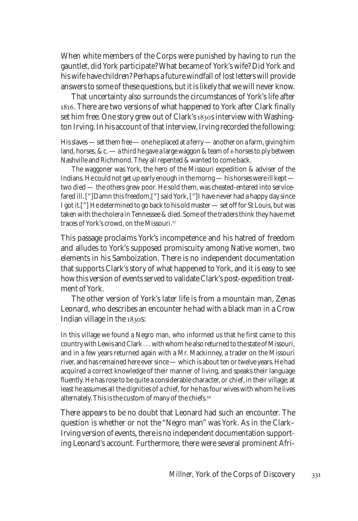When white members of the Corps were punished by having to run the gauntlet, did York participate? What became of York's wife? Did York and his wife have children? Perhaps a future windfall of lost letters will provide answers to some of these questions, but it is likely that we will never know.

That uncertainty also surrounds the circumstances of York's life after . There are two versions of what happened to York after Clark finally set him free. One story grew out of Clark's 1830s interview with Washington Irving. In his account of that interview, Irving recorded the following:

His slaves — set them free — one he placed at a ferry — another on a farm, giving him land, horses, & c.  $-$  a third he gave a large waggon & team of 6 horses to ply between Nashville and Richmond. They all repented & wanted to come back.

The waggoner was York, the hero of the Missouri expedition & adviser of the Indians. He could not get up early enough in the morng — his horses were ill kept two died — the others grew poor. He sold them, was cheated-entered into servicefared ill. ["]Damn this freedom,["] said York, ["]I have never had a happy day since I got it.["] He determined to go back to his old master — set off for St Louis, but was taken with the cholera in Tennessee & died. Some of the traders think they have met traces of York's crowd, on the Missouri.

This passage proclaims York's incompetence and his hatred of freedom and alludes to York's supposed promiscuity among Native women, two elements in his Samboization. There is no independent documentation that supports Clark's story of what happened to York, and it is easy to see how this version of events served to validate Clark's post-expedition treatment of York.

The other version of York's later life is from a mountain man, Zenas Leonard, who describes an encounter he had with a black man in a Crow Indian village in the 1830s:

In this village we found a Negro man, who informed us that he first came to this country with Lewis and Clark . . . with whom he also returned to the state of Missouri, and in a few years returned again with a Mr. Mackinney, a trader on the Missouri river, and has remained here ever since — which is about ten or twelve years. He had acquired a correct knowledge of their manner of living, and speaks their language fluently. He has rose to be quite a considerable character, or chief, in their village; at least he assumes all the dignities of a chief, for he has four wives with whom he lives alternately. This is the custom of many of the chiefs.

There appears to be no doubt that Leonard had such an encounter. The question is whether or not the "Negro man" was York. As in the Clark– Irving version of events, there is no independent documentation supporting Leonard's account. Furthermore, there were several prominent Afri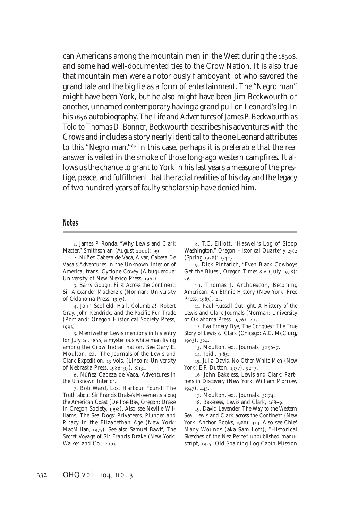can Americans among the mountain men in the West during the 1830s, and some had well-documented ties to the Crow Nation. It is also true that mountain men were a notoriously flamboyant lot who savored the grand tale and the big lie as a form of entertainment. The "Negro man" might have been York, but he also might have been Jim Beckwourth or another, unnamed contemporary having a grand pull on Leonard's leg. In his 1856 autobiography, *The Life and Adventures of James P. Beckwourth as Told to Thomas D. Bonner*, Beckwourth describes his adventures with the Crows and includes a story nearly identical to the one Leonard attributes to this "Negro man."<sup>69</sup> In this case, perhaps it is preferable that the real answer is veiled in the smoke of those long-ago western campfires. It allows us the chance to grant to York in his last years a measure of the prestige, peace, and fulfillment that the racial realities of his day and the legacy of two hundred years of faulty scholarship have denied him.

## **Notes**

. James P. Ronda, "Why Lewis and Clark Matter," Smithsonian (August 2000): 99.

. Núñez Cabeza de Vaca, Alvar, *Cabeza De Vaca's Adventures in the Unknown Interior of America*, trans. Cyclone Covey (Albuquerque: University of New Mexico Press, 1961).

. Barry Gough, *First Across the Continent: Sir Alexander Mackenzie* (Norman: University of Oklahoma Press, 1997).

. John Scofield, *Hail, Columbia!: Robert Gray, John Kendrick, and the Pacific Fur Trade* (Portland: Oregon Historical Society Press,  $1993)$ .

. Merriwether Lewis mentions in his entry for July 26, 1806, a mysterious white man living among the Crow Indian nation. See Gary E. Moulton, ed., *The Journals of the Lewis and Clark Expedition,* 13 vols. (Lincoln: University of Nebraska Press, 1986-97), 8:131.

. Núñez Cabeza de Vaca, *Adventures in the Unknown Interior.*

. Bob Ward, *Lost Harbour Found! The Truth about Sir Francis Drake's Movements along the American Coast* (De Poe Bay, Oregon: Drake in Oregon Society, 1998). Also see Neville Williams, *The Sea Dogs: Privateers, Plunder and Piracy in the Elizabethan Age* (New York: MacMillan, 1975). See also Samuel Bawlf, The *Secret Voyage of Sir Francis Drake* (New York: Walker and Co., 2003.

. T.C. Elliott, "Haswell's Log of Sloop Washington," *Oregon Historical Quarterly* 29:2 (Spring 1928): 174-7.

. Dick Pintarich, "Even Black Cowboys Get the Blues", *Oregon Times* 8:6 (July 1978): .

. Thomas J. Archdeacon, *Becoming American: An Ethnic History* (New York: Free Press, 1983), 24.

. Paul Russell Cutright, *A History of the Lewis and Clark Journals* (Norman: University of Oklahoma Press, 1976), 205.

. Eva Emery Dye, *The Conquest: The True Story of Lewis & Clark* (Chicago: A.C. McClurg, 1903), 324.

13. Moulton, ed., *Journals*, 3:156-7.

14. Ibid., 9:85.

. Julia Davis, *No Other White Men* (New York: E.P. Dutton, 1937), 92-3.

. John Bakeless, *Lewis and Clark: Partners in Discovery* (New York: William Morrow,  $1947$ ,  $443$ .

17. Moulton, ed., *Journals*, 3:174.

18. Bakeless, *Lewis and Clark*, 268-9.

. David Lavender, *The Way to the Western Sea: Lewis and Clark across the Continent* (New York: Anchor Books, 1988), 334. Also see Chief Many Wounds (aka Sam Lott), "Historical Sketches of the Nez Perce," unpublished manuscript, 1935, Old Spalding Log Cabin Mission